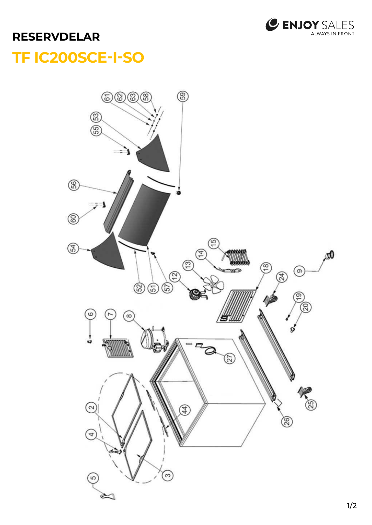

## **RESERVDELAR**

## TF IC200SCE-I-SO